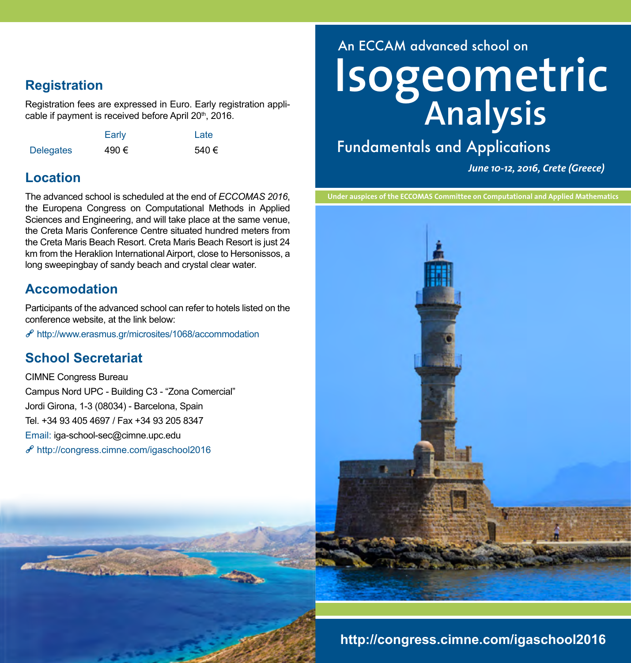## **Registration**

Registration fees are expressed in Euro. Early registration applicable if payment is received before April 20<sup>th</sup>, 2016.

|                  | Early | Late |
|------------------|-------|------|
| <b>Delegates</b> | 490€  | 540€ |

## **Location**

The advanced school is scheduled at the end of *ECCOMAS 2016*, the Europena Congress on Computational Methods in Applied Sciences and Engineering, and will take place at the same venue, the Creta Maris Conference Centre situated hundred meters from the Creta Maris Beach Resort. Creta Maris Beach Resort is just 24 km from the Heraklion International Airport, close to Hersonissos, a long sweepingbay of sandy beach and crystal clear water.

## **Accomodation**

Participants of the advanced school can refer to hotels listed on the conference website, at the link below:

 $e^{\rho}$ <http://www.erasmus.gr/microsites/1068/accommodation>

### **School Secretariat**

Street, Day

CIMNE Congress Bureau Campus Nord UPC - Building C3 - "Zona Comercial" Jordi Girona, 1-3 (08034) - Barcelona, Spain Tel. +34 93 405 4697 / Fax +34 93 205 8347 Email: iga-school-sec@cimne.upc.edu  $\mathcal{P}$ <http://congress.cimne.com/igaschool2016>



Fundamentals and Applications

*June 10-12, 2016, Crete (Greece)*

**Under auspices of the ECCOMAS Committee on Computational and Applied Mathematics**



# **<http://congress.cimne.com/igaschool2016>**